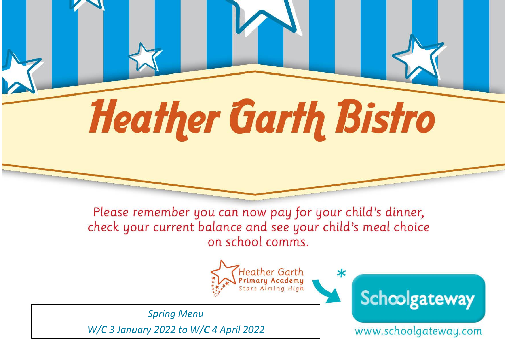# **Heather Garth Bistro**

Please remember you can now pay for your child's dinner, check your current balance and see your child's meal choice on school comms.



**Spring Menu** W/C 3 January 2022 to W/C 4 April 2022 Schoolgateway

www.schoolgateway.com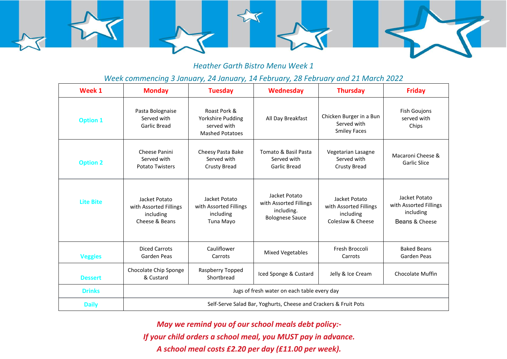

### *Heather Garth Bistro Menu Week 1*

### *Week commencing 3 January, 24 January, 14 February, 28 February and 21 March 2022*

| Week 1           | <b>Monday</b>                                                          | <b>Tuesday</b>                                                             | <b>Wednesday</b>                                                                | <b>Thursday</b>                                                           | <b>Friday</b>                                                          |  |  |
|------------------|------------------------------------------------------------------------|----------------------------------------------------------------------------|---------------------------------------------------------------------------------|---------------------------------------------------------------------------|------------------------------------------------------------------------|--|--|
| <b>Option 1</b>  | Pasta Bolognaise<br>Served with<br>Garlic Bread                        | Roast Pork &<br>Yorkshire Pudding<br>served with<br><b>Mashed Potatoes</b> | All Day Breakfast                                                               | Chicken Burger in a Bun<br>Served with<br><b>Smiley Faces</b>             | <b>Fish Goujons</b><br>served with<br>Chips                            |  |  |
| <b>Option 2</b>  | Cheese Panini<br>Served with<br><b>Potato Twisters</b>                 | Cheesy Pasta Bake<br>Served with<br>Crusty Bread                           | Tomato & Basil Pasta<br>Served with<br>Garlic Bread                             | Vegetarian Lasagne<br>Served with<br><b>Crusty Bread</b>                  | Macaroni Cheese &<br>Garlic Slice                                      |  |  |
| <b>Lite Bite</b> | Jacket Potato<br>with Assorted Fillings<br>including<br>Cheese & Beans | Jacket Potato<br>with Assorted Fillings<br>including<br>Tuna Mayo          | Jacket Potato<br>with Assorted Fillings<br>including.<br><b>Bolognese Sauce</b> | Jacket Potato<br>with Assorted Fillings<br>including<br>Coleslaw & Cheese | Jacket Potato<br>with Assorted Fillings<br>including<br>Beans & Cheese |  |  |
| <b>Veggies</b>   | <b>Diced Carrots</b><br>Garden Peas                                    | Cauliflower<br>Carrots                                                     | <b>Mixed Vegetables</b>                                                         | Fresh Broccoli<br>Carrots                                                 | <b>Baked Beans</b><br>Garden Peas                                      |  |  |
| <b>Dessert</b>   | Chocolate Chip Sponge<br>& Custard                                     | Raspberry Topped<br>Shortbread                                             | Iced Sponge & Custard                                                           | Jelly & Ice Cream                                                         | <b>Chocolate Muffin</b>                                                |  |  |
| <b>Drinks</b>    | Jugs of fresh water on each table every day                            |                                                                            |                                                                                 |                                                                           |                                                                        |  |  |
| <b>Daily</b>     | Self-Serve Salad Bar, Yoghurts, Cheese and Crackers & Fruit Pots       |                                                                            |                                                                                 |                                                                           |                                                                        |  |  |

*May we remind you of our school meals debt policy:- If your child orders a school meal, you MUST pay in advance. A school meal costs £2.20 per day (£11.00 per week).*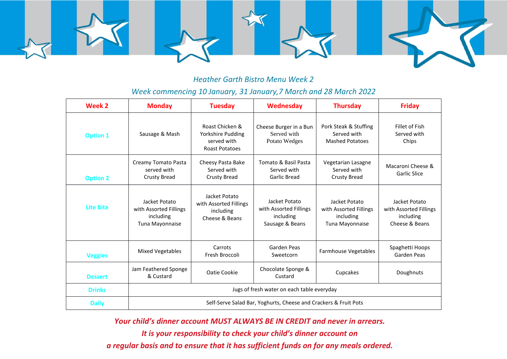

### *Heather Garth Bistro Menu Week 2*

### *Week commencing 10 January, 31 January,7 March and 28 March 2022*

| Week 2           | <b>Monday</b>                                                           | <b>Tuesday</b>                                                               | Wednesday                                                               | <b>Thursday</b>                                                         | <b>Friday</b>                                                          |  |  |
|------------------|-------------------------------------------------------------------------|------------------------------------------------------------------------------|-------------------------------------------------------------------------|-------------------------------------------------------------------------|------------------------------------------------------------------------|--|--|
| <b>Option 1</b>  | Sausage & Mash                                                          | Roast Chicken &<br>Yorkshire Pudding<br>served with<br><b>Roast Potatoes</b> | Cheese Burger in a Bun<br>Served with<br>Potato Wedges                  | Pork Steak & Stuffing<br>Served with<br><b>Mashed Potatoes</b>          | Fillet of Fish<br>Served with<br>Chips                                 |  |  |
| <b>Option 2</b>  | Creamy Tomato Pasta<br>served with<br><b>Crusty Bread</b>               | Cheesy Pasta Bake<br>Served with<br>Crusty Bread                             | Tomato & Basil Pasta<br>Served with<br>Garlic Bread                     | Vegetarian Lasagne<br>Served with<br><b>Crusty Bread</b>                | Macaroni Cheese &<br><b>Garlic Slice</b>                               |  |  |
| <b>Lite Bite</b> | Jacket Potato<br>with Assorted Fillings<br>including<br>Tuna Mayonnaise | Jacket Potato<br>with Assorted Fillings<br>including<br>Cheese & Beans       | Jacket Potato<br>with Assorted Fillings<br>including<br>Sausage & Beans | Jacket Potato<br>with Assorted Fillings<br>including<br>Tuna Mayonnaise | Jacket Potato<br>with Assorted Fillings<br>including<br>Cheese & Beans |  |  |
| <b>Veggies</b>   | <b>Mixed Vegetables</b>                                                 | Carrots<br>Fresh Broccoli                                                    | Garden Peas<br>Sweetcorn                                                | <b>Farmhouse Vegetables</b>                                             | Spaghetti Hoops<br>Garden Peas                                         |  |  |
| <b>Dessert</b>   | Jam Feathered Sponge<br>& Custard                                       | Oatie Cookie                                                                 | Chocolate Sponge &<br>Custard                                           | Cupcakes                                                                | Doughnuts                                                              |  |  |
| <b>Drinks</b>    | Jugs of fresh water on each table everyday                              |                                                                              |                                                                         |                                                                         |                                                                        |  |  |
| <b>Daily</b>     | Self-Serve Salad Bar, Yoghurts, Cheese and Crackers & Fruit Pots        |                                                                              |                                                                         |                                                                         |                                                                        |  |  |

*Your child's dinner account MUST ALWAYS BE IN CREDIT and never in arrears.*

*It is your responsibility to check your child's dinner account on a regular basis and to ensure that it has sufficient funds on for any meals ordered.*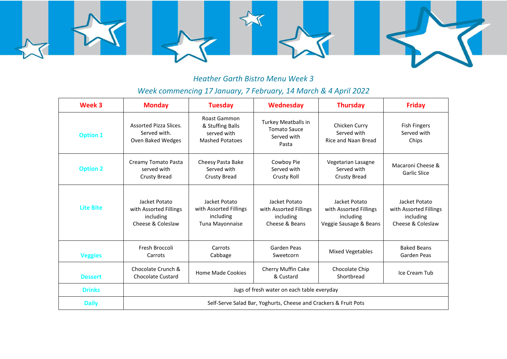

## *Heather Garth Bistro Menu Week 3*

# *Week commencing 17 January, 7 February, 14 March & 4 April 2022*

| Week 3           | <b>Monday</b>                                                             | <b>Tuesday</b>                                                            | <b>Wednesday</b>                                                          | <b>Thursday</b>                                                                | <b>Friday</b>                                                             |  |  |
|------------------|---------------------------------------------------------------------------|---------------------------------------------------------------------------|---------------------------------------------------------------------------|--------------------------------------------------------------------------------|---------------------------------------------------------------------------|--|--|
| <b>Option 1</b>  | Assorted Pizza Slices.<br>Served with.<br>Oven Baked Wedges               | Roast Gammon<br>& Stuffing Balls<br>served with<br><b>Mashed Potatoes</b> | <b>Turkey Meatballs in</b><br><b>Tomato Sauce</b><br>Served with<br>Pasta | Chicken Curry<br>Served with<br>Rice and Naan Bread                            | <b>Fish Fingers</b><br>Served with<br>Chips                               |  |  |
| <b>Option 2</b>  | Creamy Tomato Pasta<br>served with<br><b>Crusty Bread</b>                 | Cheesy Pasta Bake<br>Served with<br><b>Crusty Bread</b>                   | Cowboy Pie<br>Served with<br><b>Crusty Roll</b>                           | Vegetarian Lasagne<br>Served with<br><b>Crusty Bread</b>                       | Macaroni Cheese &<br><b>Garlic Slice</b>                                  |  |  |
| <b>Lite Bite</b> | Jacket Potato<br>with Assorted Fillings<br>including<br>Cheese & Coleslaw | Jacket Potato<br>with Assorted Fillings<br>including<br>Tuna Mayonnaise   | Jacket Potato<br>with Assorted Fillings<br>including<br>Cheese & Beans    | Jacket Potato<br>with Assorted Fillings<br>including<br>Veggie Sausage & Beans | Jacket Potato<br>with Assorted Fillings<br>including<br>Cheese & Coleslaw |  |  |
| <b>Veggies</b>   | Fresh Broccoli<br>Carrots                                                 | Carrots<br>Cabbage                                                        | Garden Peas<br>Sweetcorn                                                  | <b>Mixed Vegetables</b>                                                        | <b>Baked Beans</b><br><b>Garden Peas</b>                                  |  |  |
| <b>Dessert</b>   | Chocolate Crunch &<br><b>Chocolate Custard</b>                            | Home Made Cookies                                                         | Cherry Muffin Cake<br>& Custard                                           | Chocolate Chip<br>Shortbread                                                   | Ice Cream Tub                                                             |  |  |
| <b>Drinks</b>    | Jugs of fresh water on each table everyday                                |                                                                           |                                                                           |                                                                                |                                                                           |  |  |
| <b>Daily</b>     | Self-Serve Salad Bar, Yoghurts, Cheese and Crackers & Fruit Pots          |                                                                           |                                                                           |                                                                                |                                                                           |  |  |